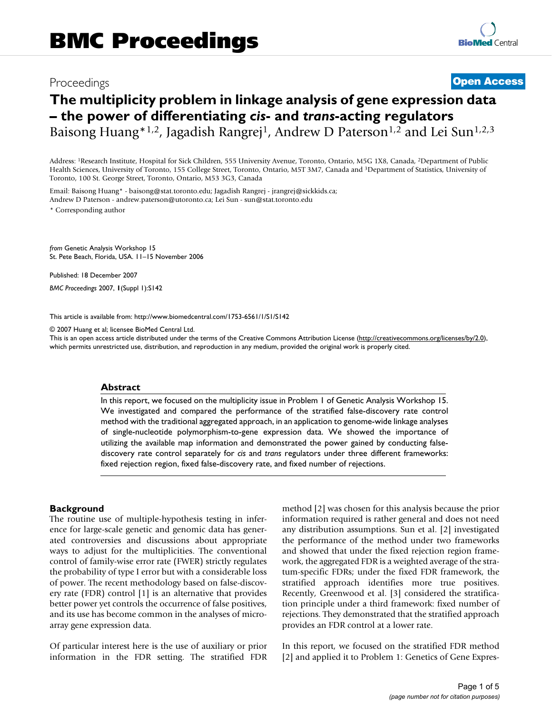## Proceedings **[Open Access](http://www.biomedcentral.com/info/about/charter/)**

# **The multiplicity problem in linkage analysis of gene expression data – the power of differentiating** *cis***- and** *trans***-acting regulators** Baisong Huang<sup>\*1,2</sup>, Jagadish Rangrej<sup>1</sup>, Andrew D Paterson<sup>1,2</sup> and Lei Sun<sup>1,2,3</sup>

Address: 1Research Institute, Hospital for Sick Children, 555 University Avenue, Toronto, Ontario, M5G 1X8, Canada, 2Department of Public Health Sciences, University of Toronto, 155 College Street, Toronto, Ontario, M5T 3M7, Canada and 3Department of Statistics, University of Toronto, 100 St. George Street, Toronto, Ontario, M53 3G3, Canada

Email: Baisong Huang\* - baisong@stat.toronto.edu; Jagadish Rangrej - jrangrej@sickkids.ca; Andrew D Paterson - andrew.paterson@utoronto.ca; Lei Sun - sun@stat.toronto.edu

\* Corresponding author

*from* Genetic Analysis Workshop 15 St. Pete Beach, Florida, USA. 11–15 November 2006

Published: 18 December 2007

*BMC Proceedings* 2007, **1**(Suppl 1):S142

[This article is available from: http://www.biomedcentral.com/1753-6561/1/S1/S142](http://www.biomedcentral.com/1753-6561/1/S1/S142)

© 2007 Huang et al; licensee BioMed Central Ltd.

This is an open access article distributed under the terms of the Creative Commons Attribution License [\(http://creativecommons.org/licenses/by/2.0\)](http://creativecommons.org/licenses/by/2.0), which permits unrestricted use, distribution, and reproduction in any medium, provided the original work is properly cited.

#### **Abstract**

In this report, we focused on the multiplicity issue in Problem 1 of Genetic Analysis Workshop 15. We investigated and compared the performance of the stratified false-discovery rate control method with the traditional aggregated approach, in an application to genome-wide linkage analyses of single-nucleotide polymorphism-to-gene expression data. We showed the importance of utilizing the available map information and demonstrated the power gained by conducting falsediscovery rate control separately for *cis* and *trans* regulators under three different frameworks: fixed rejection region, fixed false-discovery rate, and fixed number of rejections.

#### **Background**

The routine use of multiple-hypothesis testing in inference for large-scale genetic and genomic data has generated controversies and discussions about appropriate ways to adjust for the multiplicities. The conventional control of family-wise error rate (FWER) strictly regulates the probability of type I error but with a considerable loss of power. The recent methodology based on false-discovery rate (FDR) control [1] is an alternative that provides better power yet controls the occurrence of false positives, and its use has become common in the analyses of microarray gene expression data.

Of particular interest here is the use of auxiliary or prior information in the FDR setting. The stratified FDR method [2] was chosen for this analysis because the prior information required is rather general and does not need any distribution assumptions. Sun et al. [2] investigated the performance of the method under two frameworks and showed that under the fixed rejection region framework, the aggregated FDR is a weighted average of the stratum-specific FDRs; under the fixed FDR framework, the stratified approach identifies more true positives. Recently, Greenwood et al. [3] considered the stratification principle under a third framework: fixed number of rejections. They demonstrated that the stratified approach provides an FDR control at a lower rate.

In this report, we focused on the stratified FDR method [2] and applied it to Problem 1: Genetics of Gene Expres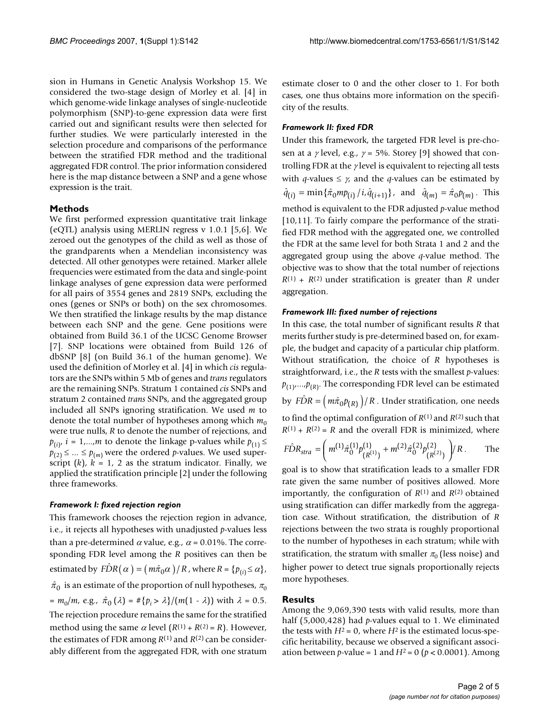sion in Humans in Genetic Analysis Workshop 15. We considered the two-stage design of Morley et al. [4] in which genome-wide linkage analyses of single-nucleotide polymorphism (SNP)-to-gene expression data were first carried out and significant results were then selected for further studies. We were particularly interested in the selection procedure and comparisons of the performance between the stratified FDR method and the traditional aggregated FDR control. The prior information considered here is the map distance between a SNP and a gene whose expression is the trait.

#### **Methods**

We first performed expression quantitative trait linkage (eQTL) analysis using MERLIN regress v 1.0.1 [5,6]. We zeroed out the genotypes of the child as well as those of the grandparents when a Mendelian inconsistency was detected. All other genotypes were retained. Marker allele frequencies were estimated from the data and single-point linkage analyses of gene expression data were performed for all pairs of 3554 genes and 2819 SNPs, excluding the ones (genes or SNPs or both) on the sex chromosomes. We then stratified the linkage results by the map distance between each SNP and the gene. Gene positions were obtained from Build 36.1 of the UCSC Genome Browser [7]. SNP locations were obtained from Build 126 of dbSNP [8] (on Build 36.1 of the human genome). We used the definition of Morley et al. [4] in which *cis* regulators are the SNPs within 5 Mb of genes and *trans* regulators are the remaining SNPs. Stratum 1 contained *cis* SNPs and stratum 2 contained *trans* SNPs, and the aggregated group included all SNPs ignoring stratification. We used *m* to denote the total number of hypotheses among which  $m_0$ were true nulls, *R* to denote the number of rejections, and  $p_{(i)}$ , *i* = 1,...,*m* to denote the linkage p-values while  $p_{(1)} \leq$  $p_{(2)} \leq ... \leq p_{(m)}$  were the ordered *p*-values. We used superscript  $(k)$ ,  $k = 1$ , 2 as the stratum indicator. Finally, we applied the stratification principle [2] under the following three frameworks.

#### *Framework I: fixed rejection region*

This framework chooses the rejection region in advance, i.e., it rejects all hypotheses with unadjusted *p*-values less than a pre-determined  $\alpha$  value, e.g.,  $\alpha$  = 0.01%. The corresponding FDR level among the *R* positives can then be estimated by  $\widehat{FDR}(\alpha) = \left(\frac{m\hat{\pi}_0 \alpha}{R} \right) / R$ , where  $R = \{p_{(i)} \leq \alpha\}$ ,  $\hat{\pi}_0$  is an estimate of the proportion of null hypotheses,  $\pi_0$  $= m_0/m$ , e.g.,  $\hat{\pi}_0(\lambda) = \frac{\#}{p_i} > \frac{\lambda}{m} (m(1 - \lambda))$  with  $\lambda = 0.5$ . The rejection procedure remains the same for the stratified method using the same  $\alpha$  level  $(R^{(1)} + R^{(2)} = R)$ . However, the estimates of FDR among  $R^{(1)}$  and  $R^{(2)}$  can be considerably different from the aggregated FDR, with one stratum

estimate closer to 0 and the other closer to 1. For both cases, one thus obtains more information on the specificity of the results.

#### *Framework II: fixed FDR*

Under this framework, the targeted FDR level is pre-chosen at a γ level, e.g.,  $\gamma$  = 5%. Storey [9] showed that controlling FDR at the  $\gamma$  level is equivalent to rejecting all tests with *q*-values  $\leq \gamma$ , and the *q*-values can be estimated by  $\hat{q}_{(i)} = \min \{ \hat{\pi}_0 m p_{(i)} / i, \hat{q}_{(i+1)} \}$ , and  $\hat{q}_{(m)} = \hat{\pi}_0 p_{(m)}$ . This method is equivalent to the FDR adjusted *p*-value method [10,11]. To fairly compare the performance of the stratified FDR method with the aggregated one, we controlled the FDR at the same level for both Strata 1 and 2 and the aggregated group using the above *q*-value method. The objective was to show that the total number of rejections *R*(1) + *R*(2) under stratification is greater than *R* under aggregation.

#### *Framework III: fixed number of rejections*

In this case, the total number of significant results *R* that merits further study is pre-determined based on, for example, the budget and capacity of a particular chip platform. Without stratification, the choice of *R* hypotheses is straightforward, i.e., the *R* tests with the smallest *p*-values:  $p_{(1)},...,p_{(R)}$ . The corresponding FDR level can be estimated by  $\hat{FDR} = \left(m\hat{\pi}_0 p_{(R)}\right)/R$  . Under stratification, one needs to find the optimal configuration of  $R^{(1)}$  and  $R^{(2)}$  such that  $R^{(1)} + R^{(2)} = R$  and the overall FDR is minimized, where

$$
\hat{FDR}_{stra} = \left( m^{(1)} \hat{\pi}_0^{(1)} p_{(R^{(1)})}^{(1)} + m^{(2)} \hat{\pi}_0^{(2)} p_{(R^{(2)})}^{(2)} \right) / R. \quad \text{The}
$$

goal is to show that stratification leads to a smaller FDR rate given the same number of positives allowed. More importantly, the configuration of  $R^{(1)}$  and  $R^{(2)}$  obtained using stratification can differ markedly from the aggregation case. Without stratification, the distribution of *R* rejections between the two strata is roughly proportional to the number of hypotheses in each stratum; while with stratification, the stratum with smaller  $\pi_0$  (less noise) and higher power to detect true signals proportionally rejects more hypotheses.

#### **Results**

Among the 9,069,390 tests with valid results, more than half (5,000,428) had *p*-values equal to 1. We eliminated the tests with  $H^2 = 0$ , where  $H^2$  is the estimated locus-specific heritability, because we observed a significant association between *p*-value = 1 and  $H^2 = 0$  ( $p < 0.0001$ ). Among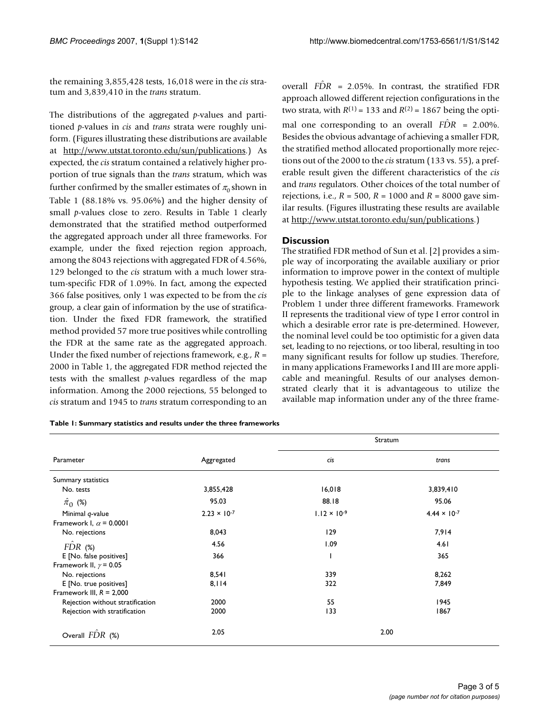the remaining 3,855,428 tests, 16,018 were in the *cis* stratum and 3,839,410 in the *trans* stratum.

The distributions of the aggregated *p*-values and partitioned *p*-values in *cis* and *trans* strata were roughly uniform. (Figures illustrating these distributions are available at <http://www.utstat.toronto.edu/sun/publications>.) As expected, the *cis* stratum contained a relatively higher proportion of true signals than the *trans* stratum, which was further confirmed by the smaller estimates of  $\pi_0$  shown in Table 1 (88.18% vs. 95.06%) and the higher density of small *p*-values close to zero. Results in Table 1 clearly demonstrated that the stratified method outperformed the aggregated approach under all three frameworks. For example, under the fixed rejection region approach, among the 8043 rejections with aggregated FDR of 4.56%, 129 belonged to the *cis* stratum with a much lower stratum-specific FDR of 1.09%. In fact, among the expected 366 false positives, only 1 was expected to be from the *cis* group, a clear gain of information by the use of stratification. Under the fixed FDR framework, the stratified method provided 57 more true positives while controlling the FDR at the same rate as the aggregated approach. Under the fixed number of rejections framework, e.g., *R* = 2000 in Table 1, the aggregated FDR method rejected the tests with the smallest *p*-values regardless of the map information. Among the 2000 rejections, 55 belonged to *cis* stratum and 1945 to *trans* stratum corresponding to an

overall  $\hat{FDR}$  = 2.05%. In contrast, the stratified FDR approach allowed different rejection configurations in the two strata, with  $R^{(1)} = 133$  and  $R^{(2)} = 1867$  being the optimal one corresponding to an overall  $\hat{FDR} = 2.00\%$ . Besides the obvious advantage of achieving a smaller FDR, the stratified method allocated proportionally more rejections out of the 2000 to the *cis* stratum (133 vs. 55), a preferable result given the different characteristics of the *cis* and *trans* regulators. Other choices of the total number of rejections, i.e., *R* = 500, *R* = 1000 and *R* = 8000 gave similar results. (Figures illustrating these results are available at [http://www.utstat.toronto.edu/sun/publications.](http://www.utstat.toronto.edu/sun/publications))

### **Discussion**

The stratified FDR method of Sun et al. [2] provides a simple way of incorporating the available auxiliary or prior information to improve power in the context of multiple hypothesis testing. We applied their stratification principle to the linkage analyses of gene expression data of Problem 1 under three different frameworks. Framework II represents the traditional view of type I error control in which a desirable error rate is pre-determined. However, the nominal level could be too optimistic for a given data set, leading to no rejections, or too liberal, resulting in too many significant results for follow up studies. Therefore, in many applications Frameworks I and III are more applicable and meaningful. Results of our analyses demonstrated clearly that it is advantageous to utilize the available map information under any of the three frame-

**Table 1: Summary statistics and results under the three frameworks**

|                                  |                       | Stratum               |                       |  |  |
|----------------------------------|-----------------------|-----------------------|-----------------------|--|--|
| Parameter                        | Aggregated            | cis                   | trans                 |  |  |
| Summary statistics               |                       |                       |                       |  |  |
| No. tests                        | 3,855,428             | 16,018                | 3,839,410             |  |  |
| $\hat{\pi}_0$ (%)                | 95.03                 | 88.18                 | 95.06                 |  |  |
| Minimal q-value                  | $2.23 \times 10^{-7}$ | $1.12 \times 10^{-9}$ | $4.44 \times 10^{-7}$ |  |  |
| Framework I, $\alpha$ = 0.0001   |                       |                       |                       |  |  |
| No. rejections                   | 8,043                 | 129                   | 7,914                 |  |  |
| $F\hat{D}R$ (%)                  | 4.56                  | 1.09                  | 4.61                  |  |  |
| E [No. false positives]          | 366                   |                       | 365                   |  |  |
| Framework II, $y = 0.05$         |                       |                       |                       |  |  |
| No. rejections                   | 8,541                 | 339                   | 8,262                 |  |  |
| E [No. true positives]           | 8,114                 | 322                   | 7,849                 |  |  |
| Framework III, $R = 2,000$       |                       |                       |                       |  |  |
| Rejection without stratification | 2000                  | 55                    | 1945                  |  |  |
| Rejection with stratification    | 2000                  | 133                   | 1867                  |  |  |
| Overall $FDR$ (%)                | 2.05                  | 2.00                  |                       |  |  |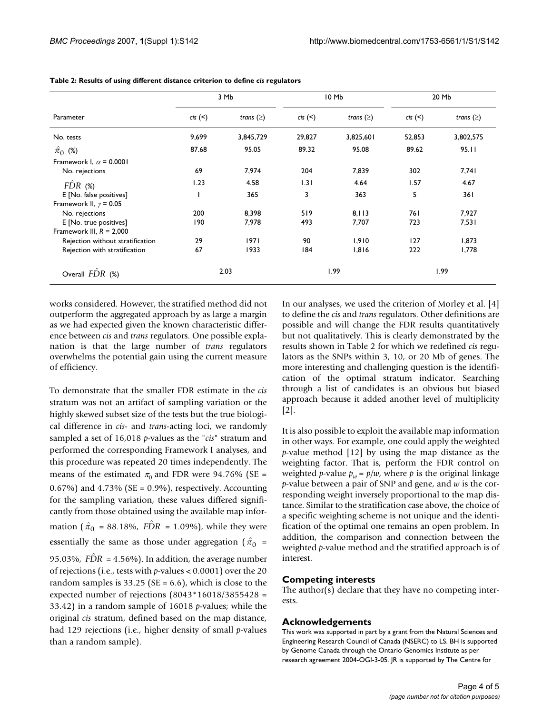|                                  | 3 Mb      |               | 10 Mb          |               | 20 Mb          |               |
|----------------------------------|-----------|---------------|----------------|---------------|----------------|---------------|
| Parameter                        | $cis$ $($ | trans $(\ge)$ | $cis$ $(\leq)$ | trans $(\ge)$ | $cis$ $(\leq)$ | trans $(\ge)$ |
| No. tests                        | 9,699     | 3,845,729     | 29,827         | 3,825,601     | 52,853         | 3,802,575     |
| $\hat{\pi}_0$ (%)                | 87.68     | 95.05         | 89.32          | 95.08         | 89.62          | 95.11         |
| Framework I, $\alpha$ = 0.0001   |           |               |                |               |                |               |
| No. rejections                   | 69        | 7,974         | 204            | 7,839         | 302            | 7,741         |
| $F\hat{D}R$ (%)                  | 1.23      | 4.58          | 1.31           | 4.64          | 1.57           | 4.67          |
| E [No. false positives]          |           | 365           | 3              | 363           | 5              | 361           |
| Framework II, $\gamma$ = 0.05    |           |               |                |               |                |               |
| No. rejections                   | 200       | 8,398         | 519            | 8,113         | 761            | 7,927         |
| E [No. true positives]           | 190       | 7,978         | 493            | 7,707         | 723            | 7,531         |
| Framework III, $R = 2,000$       |           |               |                |               |                |               |
| Rejection without stratification | 29        | 1971          | 90             | 1,910         | 127            | 1,873         |
| Rejection with stratification    | 67        | 1933          | 84             | 1,816         | 222            | 1,778         |
| Overall FDR (%)                  | 2.03      |               | 1.99           |               | 1.99           |               |

**Table 2: Results of using different distance criterion to define** *cis* **regulators**

works considered. However, the stratified method did not outperform the aggregated approach by as large a margin as we had expected given the known characteristic difference between *cis* and *trans* regulators. One possible explanation is that the large number of *trans* regulators overwhelms the potential gain using the current measure of efficiency.

To demonstrate that the smaller FDR estimate in the *cis* stratum was not an artifact of sampling variation or the highly skewed subset size of the tests but the true biological difference in *cis*- and *trans*-acting loci, we randomly sampled a set of 16,018 *p*-values as the "*cis*" stratum and performed the corresponding Framework I analyses, and this procedure was repeated 20 times independently. The means of the estimated  $\pi_0$  and FDR were 94.76% (SE = 0.67%) and  $4.73\%$  (SE = 0.9%), respectively. Accounting for the sampling variation, these values differed significantly from those obtained using the available map information ( $\hat{\pi}_0$  = 88.18%,  $\hat{FDR}$  = 1.09%), while they were essentially the same as those under aggregation ( $\hat{\pi}_0$  = 95.03%,  $\hat{FDR} = 4.56\%$ ). In addition, the average number of rejections (i.e., tests with *p*-values < 0.0001) over the 20 random samples is  $33.25$  (SE = 6.6), which is close to the expected number of rejections  $(8043*16018/3855428 =$ 33.42) in a random sample of 16018 *p*-values; while the original *cis* stratum, defined based on the map distance, had 129 rejections (i.e., higher density of small *p*-values than a random sample).

In our analyses, we used the criterion of Morley et al. [4] to define the *cis* and *trans* regulators. Other definitions are possible and will change the FDR results quantitatively but not qualitatively. This is clearly demonstrated by the results shown in Table 2 for which we redefined *cis* regulators as the SNPs within 3, 10, or 20 Mb of genes. The more interesting and challenging question is the identification of the optimal stratum indicator. Searching through a list of candidates is an obvious but biased approach because it added another level of multiplicity [2].

It is also possible to exploit the available map information in other ways. For example, one could apply the weighted *p*-value method [12] by using the map distance as the weighting factor. That is, perform the FDR control on weighted *p*-value  $p_w = p/w$ , where *p* is the original linkage *p*-value between a pair of SNP and gene, and *w* is the corresponding weight inversely proportional to the map distance. Similar to the stratification case above, the choice of a specific weighting scheme is not unique and the identification of the optimal one remains an open problem. In addition, the comparison and connection between the weighted *p*-value method and the stratified approach is of interest.

#### **Competing interests**

The author(s) declare that they have no competing interests.

#### **Acknowledgements**

This work was supported in part by a grant from the Natural Sciences and Engineering Research Council of Canada (NSERC) to LS. BH is supported by Genome Canada through the Ontario Genomics Institute as per research agreement 2004-OGI-3-05. JR is supported by The Centre for